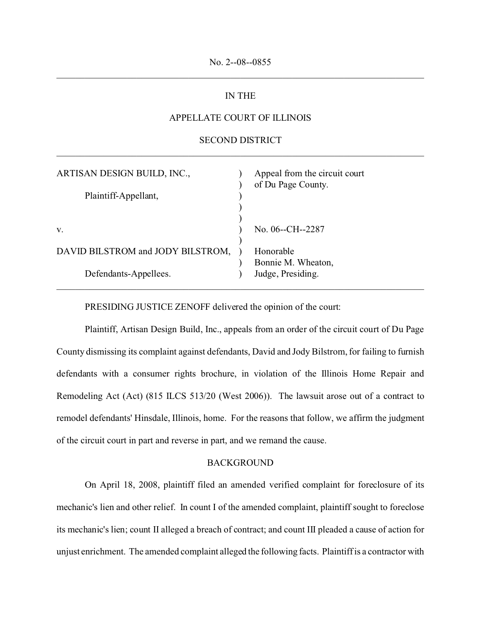# IN THE

# APPELLATE COURT OF ILLINOIS

# SECOND DISTRICT \_\_\_\_\_\_\_\_\_\_\_\_\_\_\_\_\_\_\_\_\_\_\_\_\_\_\_\_\_\_\_\_\_\_\_\_\_\_\_\_\_\_\_\_\_\_\_\_\_\_\_\_\_\_\_\_\_\_\_\_\_\_\_\_\_\_\_\_\_\_\_\_\_\_\_\_\_\_

| ARTISAN DESIGN BUILD, INC.,<br>Plaintiff-Appellant, | Appeal from the circuit court<br>of Du Page County. |
|-----------------------------------------------------|-----------------------------------------------------|
| V.                                                  | No. 06--CH--2287                                    |
| DAVID BILSTROM and JODY BILSTROM,                   | Honorable                                           |
| Defendants-Appellees.                               | Bonnie M. Wheaton,<br>Judge, Presiding.             |

PRESIDING JUSTICE ZENOFF delivered the opinion of the court:

Plaintiff, Artisan Design Build, Inc., appeals from an order of the circuit court of Du Page County dismissing its complaint against defendants, David and Jody Bilstrom, for failing to furnish defendants with a consumer rights brochure, in violation of the Illinois Home Repair and Remodeling Act (Act) (815 ILCS 513/20 (West 2006)). The lawsuit arose out of a contract to remodel defendants' Hinsdale, Illinois, home. For the reasons that follow, we affirm the judgment of the circuit court in part and reverse in part, and we remand the cause.

### BACKGROUND

On April 18, 2008, plaintiff filed an amended verified complaint for foreclosure of its mechanic's lien and other relief. In count I of the amended complaint, plaintiff sought to foreclose its mechanic's lien; count II alleged a breach of contract; and count III pleaded a cause of action for unjust enrichment. The amended complaint alleged the following facts. Plaintiff is a contractor with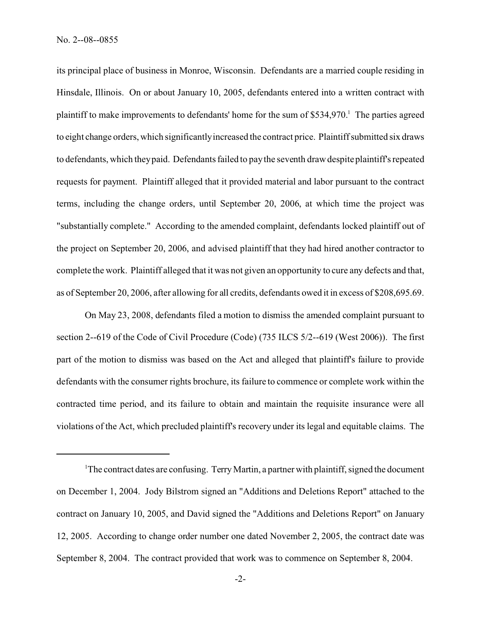its principal place of business in Monroe, Wisconsin. Defendants are a married couple residing in Hinsdale, Illinois. On or about January 10, 2005, defendants entered into a written contract with plaintiff to make improvements to defendants' home for the sum of \$534,970.<sup>1</sup> The parties agreed to eight change orders, which significantly increased the contract price. Plaintiff submitted six draws to defendants, which they paid. Defendants failed to pay the seventh draw despite plaintiff's repeated requests for payment. Plaintiff alleged that it provided material and labor pursuant to the contract terms, including the change orders, until September 20, 2006, at which time the project was "substantially complete." According to the amended complaint, defendants locked plaintiff out of the project on September 20, 2006, and advised plaintiff that they had hired another contractor to complete the work. Plaintiff alleged that it was not given an opportunity to cure any defects and that, as of September 20, 2006, after allowing for all credits, defendants owed it in excess of \$208,695.69.

On May 23, 2008, defendants filed a motion to dismiss the amended complaint pursuant to section 2--619 of the Code of Civil Procedure (Code) (735 ILCS 5/2--619 (West 2006)). The first part of the motion to dismiss was based on the Act and alleged that plaintiff's failure to provide defendants with the consumer rights brochure, its failure to commence or complete work within the contracted time period, and its failure to obtain and maintain the requisite insurance were all violations of the Act, which precluded plaintiff's recovery under its legal and equitable claims. The

<sup>&</sup>lt;sup>1</sup>The contract dates are confusing. Terry Martin, a partner with plaintiff, signed the document on December 1, 2004. Jody Bilstrom signed an "Additions and Deletions Report" attached to the contract on January 10, 2005, and David signed the "Additions and Deletions Report" on January 12, 2005. According to change order number one dated November 2, 2005, the contract date was September 8, 2004. The contract provided that work was to commence on September 8, 2004.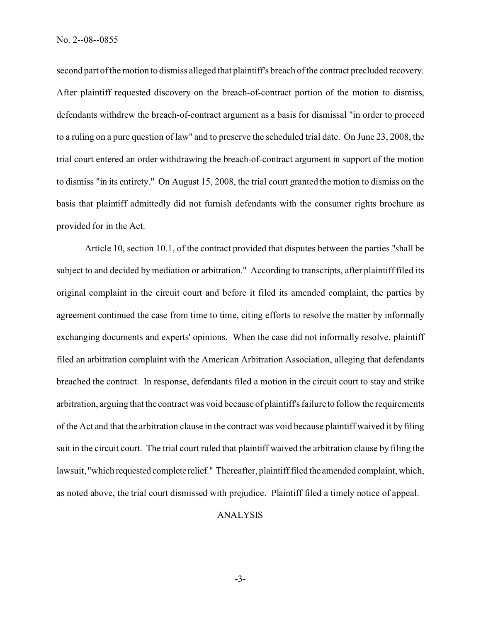second part of the motion to dismiss alleged that plaintiff's breach of the contract precluded recovery. After plaintiff requested discovery on the breach-of-contract portion of the motion to dismiss, defendants withdrew the breach-of-contract argument as a basis for dismissal "in order to proceed to a ruling on a pure question of law" and to preserve the scheduled trial date. On June 23, 2008, the trial court entered an order withdrawing the breach-of-contract argument in support of the motion to dismiss "in its entirety." On August 15, 2008, the trial court granted the motion to dismiss on the basis that plaintiff admittedly did not furnish defendants with the consumer rights brochure as provided for in the Act.

Article 10, section 10.1, of the contract provided that disputes between the parties "shall be subject to and decided by mediation or arbitration." According to transcripts, after plaintiff filed its original complaint in the circuit court and before it filed its amended complaint, the parties by agreement continued the case from time to time, citing efforts to resolve the matter by informally exchanging documents and experts' opinions. When the case did not informally resolve, plaintiff filed an arbitration complaint with the American Arbitration Association, alleging that defendants breached the contract. In response, defendants filed a motion in the circuit court to stay and strike arbitration, arguing that the contract was void because of plaintiff's failure to follow the requirements of the Act and that the arbitration clause in the contract was void because plaintiff waived it by filing suit in the circuit court. The trial court ruled that plaintiff waived the arbitration clause by filing the lawsuit, "which requested completerelief." Thereafter, plaintiff filed the amended complaint, which, as noted above, the trial court dismissed with prejudice. Plaintiff filed a timely notice of appeal.

#### ANALYSIS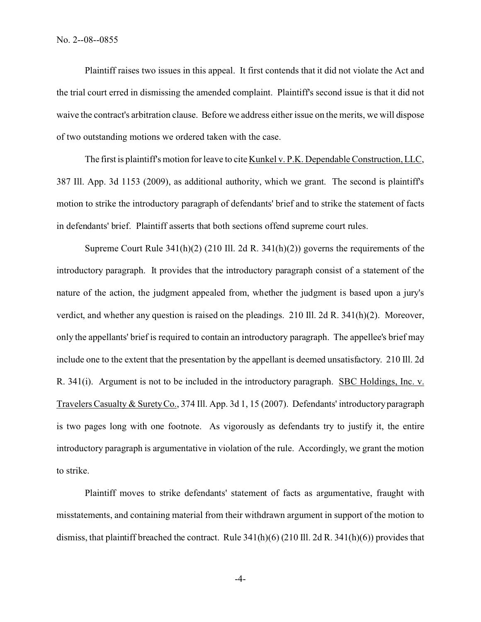Plaintiff raises two issues in this appeal. It first contends that it did not violate the Act and the trial court erred in dismissing the amended complaint. Plaintiff's second issue is that it did not waive the contract's arbitration clause. Before we address either issue on the merits, we will dispose of two outstanding motions we ordered taken with the case.

The first is plaintiff's motion for leave to cite Kunkel v. P.K. Dependable Construction, LLC, 387 Ill. App. 3d 1153 (2009), as additional authority, which we grant. The second is plaintiff's motion to strike the introductory paragraph of defendants' brief and to strike the statement of facts in defendants' brief. Plaintiff asserts that both sections offend supreme court rules.

Supreme Court Rule  $341(h)(2)$  (210 Ill. 2d R.  $341(h)(2)$ ) governs the requirements of the introductory paragraph. It provides that the introductory paragraph consist of a statement of the nature of the action, the judgment appealed from, whether the judgment is based upon a jury's verdict, and whether any question is raised on the pleadings. 210 Ill. 2d R. 341(h)(2). Moreover, only the appellants' brief is required to contain an introductory paragraph. The appellee's brief may include one to the extent that the presentation by the appellant is deemed unsatisfactory. 210 Ill. 2d R. 341(i). Argument is not to be included in the introductory paragraph. SBC Holdings, Inc. v. Travelers Casualty & Surety Co., 374 Ill. App. 3d 1, 15 (2007). Defendants' introductory paragraph is two pages long with one footnote. As vigorously as defendants try to justify it, the entire introductory paragraph is argumentative in violation of the rule. Accordingly, we grant the motion to strike.

Plaintiff moves to strike defendants' statement of facts as argumentative, fraught with misstatements, and containing material from their withdrawn argument in support of the motion to dismiss, that plaintiff breached the contract. Rule 341(h)(6) (210 Ill. 2d R. 341(h)(6)) provides that

-4-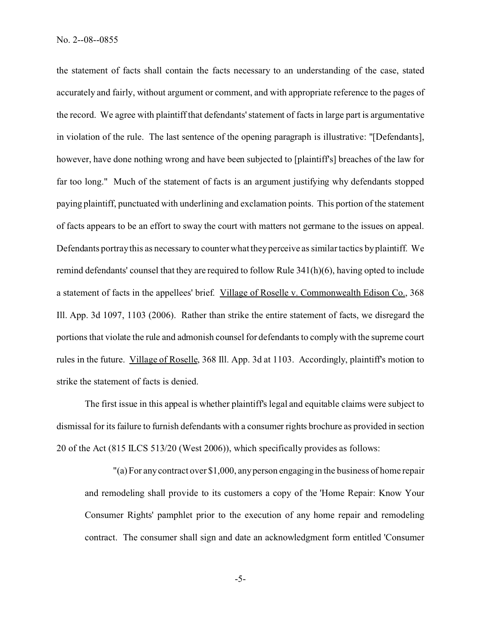the statement of facts shall contain the facts necessary to an understanding of the case, stated accurately and fairly, without argument or comment, and with appropriate reference to the pages of the record. We agree with plaintiff that defendants' statement of facts in large part is argumentative in violation of the rule. The last sentence of the opening paragraph is illustrative: "[Defendants], however, have done nothing wrong and have been subjected to [plaintiff's] breaches of the law for far too long." Much of the statement of facts is an argument justifying why defendants stopped paying plaintiff, punctuated with underlining and exclamation points. This portion of the statement of facts appears to be an effort to sway the court with matters not germane to the issues on appeal. Defendants portray this as necessary to counter what they perceive as similar tactics by plaintiff. We remind defendants' counsel that they are required to follow Rule 341(h)(6), having opted to include a statement of facts in the appellees' brief. Village of Roselle v. Commonwealth Edison Co., 368 Ill. App. 3d 1097, 1103 (2006). Rather than strike the entire statement of facts, we disregard the portions that violate the rule and admonish counsel for defendants to comply with the supreme court rules in the future. Village of Roselle, 368 Ill. App. 3d at 1103. Accordingly, plaintiff's motion to strike the statement of facts is denied.

The first issue in this appeal is whether plaintiff's legal and equitable claims were subject to dismissal for its failure to furnish defendants with a consumer rights brochure as provided in section 20 of the Act (815 ILCS 513/20 (West 2006)), which specifically provides as follows:

"(a) For any contract over \$1,000, any person engaging in the business of home repair and remodeling shall provide to its customers a copy of the 'Home Repair: Know Your Consumer Rights' pamphlet prior to the execution of any home repair and remodeling contract. The consumer shall sign and date an acknowledgment form entitled 'Consumer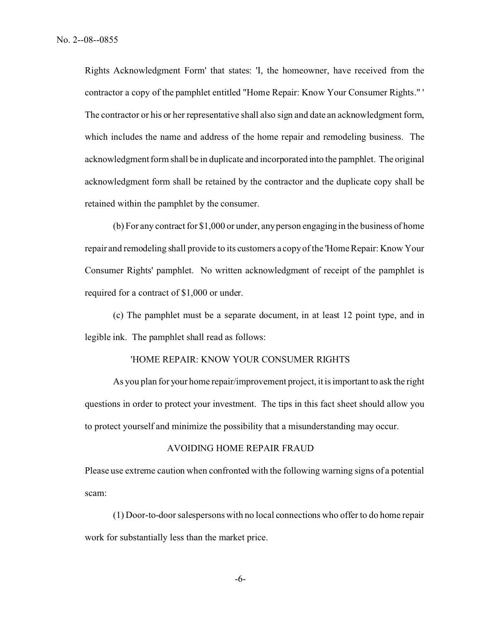Rights Acknowledgment Form' that states: 'I, the homeowner, have received from the contractor a copy of the pamphlet entitled "Home Repair: Know Your Consumer Rights." ' The contractor or his or her representative shall also sign and date an acknowledgment form, which includes the name and address of the home repair and remodeling business. The acknowledgment form shall be in duplicate and incorporated into the pamphlet. The original acknowledgment form shall be retained by the contractor and the duplicate copy shall be retained within the pamphlet by the consumer.

(b) For any contract for \$1,000 or under, any person engaging in the business of home repair and remodeling shall provide to its customers a copy of the 'Home Repair: Know Your Consumer Rights' pamphlet. No written acknowledgment of receipt of the pamphlet is required for a contract of \$1,000 or under.

(c) The pamphlet must be a separate document, in at least 12 point type, and in legible ink. The pamphlet shall read as follows:

## 'HOME REPAIR: KNOW YOUR CONSUMER RIGHTS

As you plan for your home repair/improvement project, it is important to ask the right questions in order to protect your investment. The tips in this fact sheet should allow you to protect yourself and minimize the possibility that a misunderstanding may occur.

#### AVOIDING HOME REPAIR FRAUD

Please use extreme caution when confronted with the following warning signs of a potential scam:

(1) Door-to-door salespersons with no local connections who offer to do home repair work for substantially less than the market price.

-6-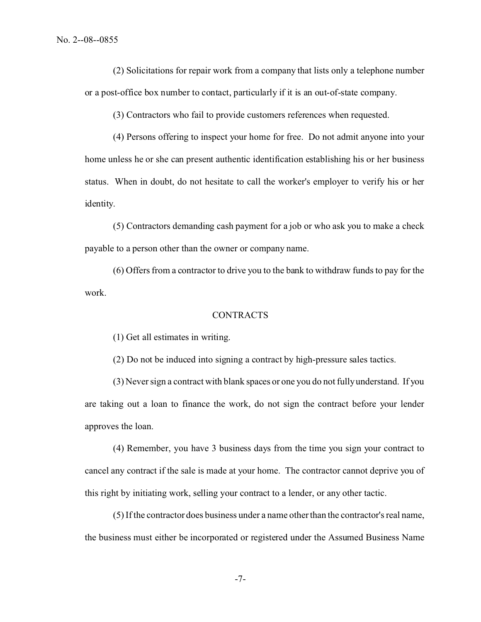(2) Solicitations for repair work from a company that lists only a telephone number or a post-office box number to contact, particularly if it is an out-of-state company.

(3) Contractors who fail to provide customers references when requested.

(4) Persons offering to inspect your home for free. Do not admit anyone into your home unless he or she can present authentic identification establishing his or her business status. When in doubt, do not hesitate to call the worker's employer to verify his or her identity.

(5) Contractors demanding cash payment for a job or who ask you to make a check payable to a person other than the owner or company name.

(6) Offers from a contractor to drive you to the bank to withdraw funds to pay for the work.

## **CONTRACTS**

(1) Get all estimates in writing.

(2) Do not be induced into signing a contract by high-pressure sales tactics.

(3) Never sign a contract with blank spaces or one you do not fully understand. If you are taking out a loan to finance the work, do not sign the contract before your lender approves the loan.

(4) Remember, you have 3 business days from the time you sign your contract to cancel any contract if the sale is made at your home. The contractor cannot deprive you of this right by initiating work, selling your contract to a lender, or any other tactic.

(5) If the contractor does business under a name other than the contractor's real name, the business must either be incorporated or registered under the Assumed Business Name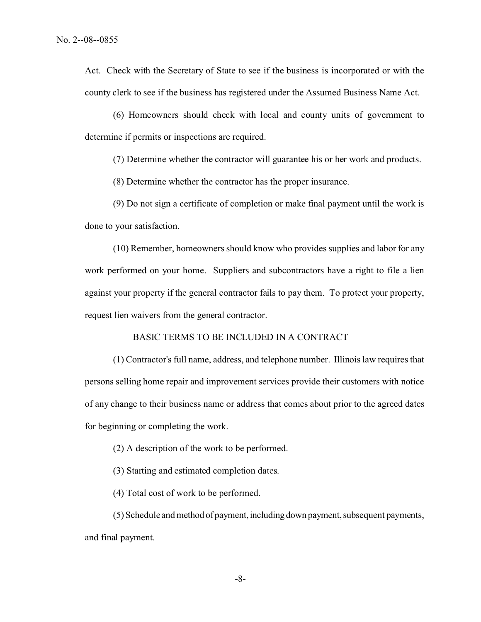Act. Check with the Secretary of State to see if the business is incorporated or with the county clerk to see if the business has registered under the Assumed Business Name Act.

(6) Homeowners should check with local and county units of government to determine if permits or inspections are required.

(7) Determine whether the contractor will guarantee his or her work and products.

(8) Determine whether the contractor has the proper insurance.

(9) Do not sign a certificate of completion or make final payment until the work is done to your satisfaction.

(10) Remember, homeowners should know who provides supplies and labor for any work performed on your home. Suppliers and subcontractors have a right to file a lien against your property if the general contractor fails to pay them. To protect your property, request lien waivers from the general contractor.

## BASIC TERMS TO BE INCLUDED IN A CONTRACT

(1) Contractor's full name, address, and telephone number. Illinois law requires that persons selling home repair and improvement services provide their customers with notice of any change to their business name or address that comes about prior to the agreed dates for beginning or completing the work.

(2) A description of the work to be performed.

(3) Starting and estimated completion dates.

(4) Total cost of work to be performed.

(5) Schedule and method of payment, including down payment, subsequent payments, and final payment.

-8-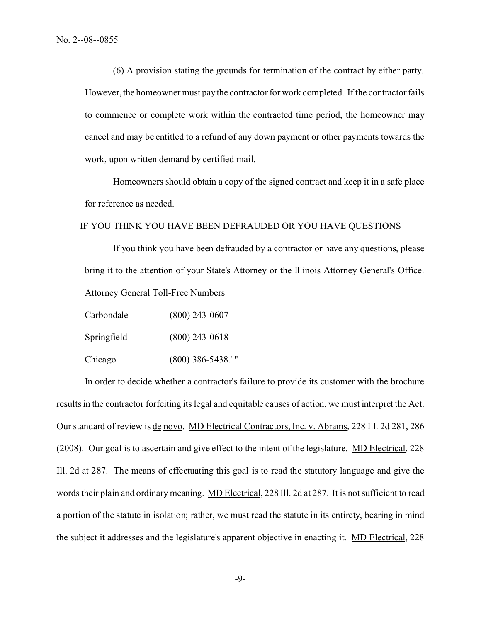(6) A provision stating the grounds for termination of the contract by either party. However, the homeowner must pay the contractor for work completed. If the contractor fails to commence or complete work within the contracted time period, the homeowner may cancel and may be entitled to a refund of any down payment or other payments towards the work, upon written demand by certified mail.

Homeowners should obtain a copy of the signed contract and keep it in a safe place for reference as needed.

# IF YOU THINK YOU HAVE BEEN DEFRAUDED OR YOU HAVE QUESTIONS

If you think you have been defrauded by a contractor or have any questions, please bring it to the attention of your State's Attorney or the Illinois Attorney General's Office. Attorney General Toll-Free Numbers

| Carbondale  | $(800)$ 243-0607    |
|-------------|---------------------|
| Springfield | $(800)$ 243-0618    |
| Chicago     | $(800)$ 386-5438.'" |

In order to decide whether a contractor's failure to provide its customer with the brochure results in the contractor forfeiting its legal and equitable causes of action, we must interpret the Act. Our standard of review is de novo. MD Electrical Contractors, Inc. v. Abrams, 228 Ill. 2d 281, 286 (2008). Our goal is to ascertain and give effect to the intent of the legislature. MD Electrical, 228 Ill. 2d at 287. The means of effectuating this goal is to read the statutory language and give the words their plain and ordinary meaning. MD Electrical, 228 Ill. 2d at 287. It is not sufficient to read a portion of the statute in isolation; rather, we must read the statute in its entirety, bearing in mind the subject it addresses and the legislature's apparent objective in enacting it. MD Electrical, 228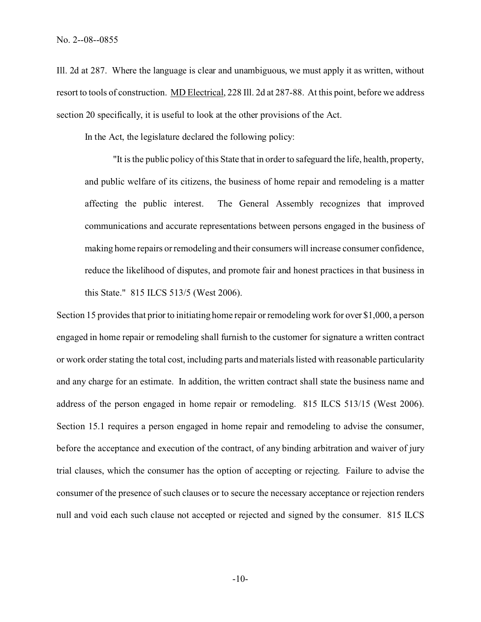Ill. 2d at 287. Where the language is clear and unambiguous, we must apply it as written, without resort to tools of construction. MD Electrical, 228 Ill. 2d at 287-88. At this point, before we address section 20 specifically, it is useful to look at the other provisions of the Act.

In the Act, the legislature declared the following policy:

"It is the public policy of this State that in order to safeguard the life, health, property, and public welfare of its citizens, the business of home repair and remodeling is a matter affecting the public interest. The General Assembly recognizes that improved communications and accurate representations between persons engaged in the business of making home repairs or remodeling and their consumers will increase consumer confidence, reduce the likelihood of disputes, and promote fair and honest practices in that business in this State." 815 ILCS 513/5 (West 2006).

Section 15 provides that prior to initiating home repair or remodeling work for over \$1,000, a person engaged in home repair or remodeling shall furnish to the customer for signature a written contract or work order stating the total cost, including parts and materials listed with reasonable particularity and any charge for an estimate. In addition, the written contract shall state the business name and address of the person engaged in home repair or remodeling. 815 ILCS 513/15 (West 2006). Section 15.1 requires a person engaged in home repair and remodeling to advise the consumer, before the acceptance and execution of the contract, of any binding arbitration and waiver of jury trial clauses, which the consumer has the option of accepting or rejecting. Failure to advise the consumer of the presence of such clauses or to secure the necessary acceptance or rejection renders null and void each such clause not accepted or rejected and signed by the consumer. 815 ILCS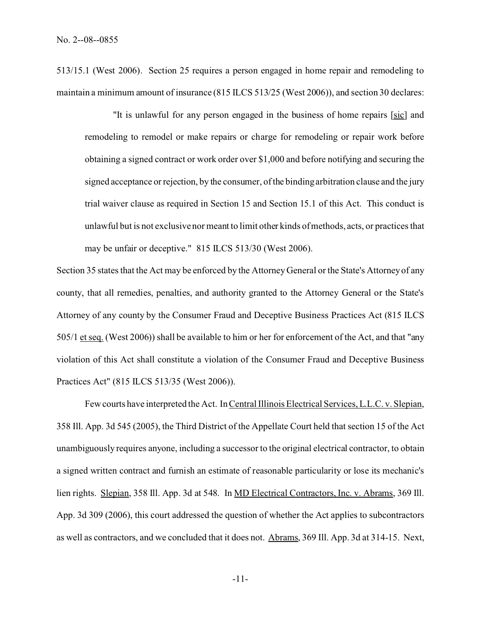513/15.1 (West 2006). Section 25 requires a person engaged in home repair and remodeling to maintain a minimum amount of insurance (815 ILCS 513/25 (West 2006)), and section 30 declares:

"It is unlawful for any person engaged in the business of home repairs [sic] and remodeling to remodel or make repairs or charge for remodeling or repair work before obtaining a signed contract or work order over \$1,000 and before notifying and securing the signed acceptance or rejection, by the consumer, of the binding arbitration clause and the jury trial waiver clause as required in Section 15 and Section 15.1 of this Act. This conduct is unlawful but is not exclusive nor meant to limit other kinds of methods, acts, or practices that may be unfair or deceptive." 815 ILCS 513/30 (West 2006).

Section 35 states that the Act may be enforced by the Attorney General or the State's Attorney of any county, that all remedies, penalties, and authority granted to the Attorney General or the State's Attorney of any county by the Consumer Fraud and Deceptive Business Practices Act (815 ILCS 505/1 et seq. (West 2006)) shall be available to him or her for enforcement of the Act, and that "any violation of this Act shall constitute a violation of the Consumer Fraud and Deceptive Business Practices Act" (815 ILCS 513/35 (West 2006)).

Few courts have interpreted the Act. In Central Illinois Electrical Services, L.L.C. v. Slepian, 358 Ill. App. 3d 545 (2005), the Third District of the Appellate Court held that section 15 of the Act unambiguously requires anyone, including a successor to the original electrical contractor, to obtain a signed written contract and furnish an estimate of reasonable particularity or lose its mechanic's lien rights. Slepian, 358 Ill. App. 3d at 548. In MD Electrical Contractors, Inc. v. Abrams, 369 Ill. App. 3d 309 (2006), this court addressed the question of whether the Act applies to subcontractors as well as contractors, and we concluded that it does not. Abrams, 369 Ill. App. 3d at 314-15. Next,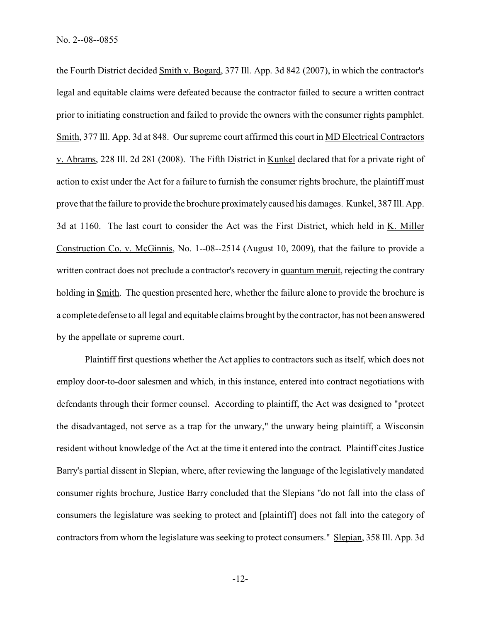the Fourth District decided Smith v. Bogard, 377 Ill. App. 3d 842 (2007), in which the contractor's legal and equitable claims were defeated because the contractor failed to secure a written contract prior to initiating construction and failed to provide the owners with the consumer rights pamphlet. Smith, 377 Ill. App. 3d at 848. Our supreme court affirmed this court in MD Electrical Contractors v. Abrams, 228 Ill. 2d 281 (2008). The Fifth District in Kunkel declared that for a private right of action to exist under the Act for a failure to furnish the consumer rights brochure, the plaintiff must prove that the failure to provide the brochure proximately caused his damages. Kunkel, 387 Ill. App. 3d at 1160. The last court to consider the Act was the First District, which held in K. Miller Construction Co. v. McGinnis, No. 1--08--2514 (August 10, 2009), that the failure to provide a written contract does not preclude a contractor's recovery in quantum meruit, rejecting the contrary holding in Smith. The question presented here, whether the failure alone to provide the brochure is a complete defense to all legal and equitable claims brought by the contractor, has not been answered by the appellate or supreme court.

Plaintiff first questions whether the Act applies to contractors such as itself, which does not employ door-to-door salesmen and which, in this instance, entered into contract negotiations with defendants through their former counsel. According to plaintiff, the Act was designed to "protect the disadvantaged, not serve as a trap for the unwary," the unwary being plaintiff, a Wisconsin resident without knowledge of the Act at the time it entered into the contract. Plaintiff cites Justice Barry's partial dissent in Slepian, where, after reviewing the language of the legislatively mandated consumer rights brochure, Justice Barry concluded that the Slepians "do not fall into the class of consumers the legislature was seeking to protect and [plaintiff] does not fall into the category of contractors from whom the legislature was seeking to protect consumers." Slepian, 358 Ill. App. 3d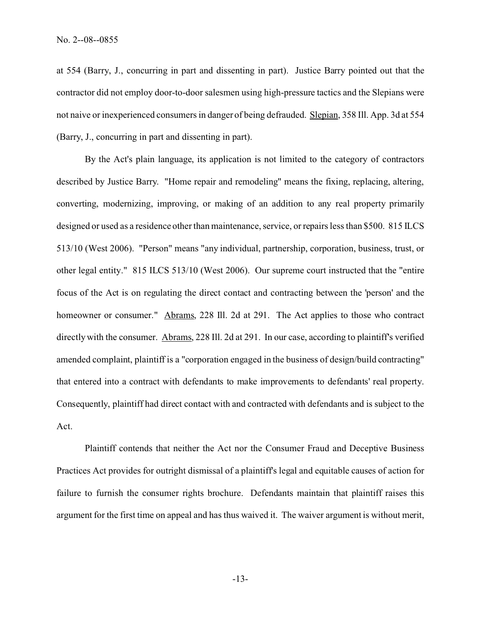at 554 (Barry, J., concurring in part and dissenting in part). Justice Barry pointed out that the contractor did not employ door-to-door salesmen using high-pressure tactics and the Slepians were not naive or inexperienced consumers in danger of being defrauded. Slepian, 358 Ill. App. 3d at 554 (Barry, J., concurring in part and dissenting in part).

By the Act's plain language, its application is not limited to the category of contractors described by Justice Barry. "Home repair and remodeling" means the fixing, replacing, altering, converting, modernizing, improving, or making of an addition to any real property primarily designed or used as a residence other than maintenance, service, or repairs less than \$500. 815 ILCS 513/10 (West 2006). "Person" means "any individual, partnership, corporation, business, trust, or other legal entity." 815 ILCS 513/10 (West 2006). Our supreme court instructed that the "entire focus of the Act is on regulating the direct contact and contracting between the 'person' and the homeowner or consumer." Abrams, 228 Ill. 2d at 291. The Act applies to those who contract directly with the consumer. Abrams, 228 Ill. 2d at 291. In our case, according to plaintiff's verified amended complaint, plaintiff is a "corporation engaged in the business of design/build contracting" that entered into a contract with defendants to make improvements to defendants' real property. Consequently, plaintiff had direct contact with and contracted with defendants and is subject to the Act.

Plaintiff contends that neither the Act nor the Consumer Fraud and Deceptive Business Practices Act provides for outright dismissal of a plaintiff's legal and equitable causes of action for failure to furnish the consumer rights brochure. Defendants maintain that plaintiff raises this argument for the first time on appeal and has thus waived it. The waiver argument is without merit,

-13-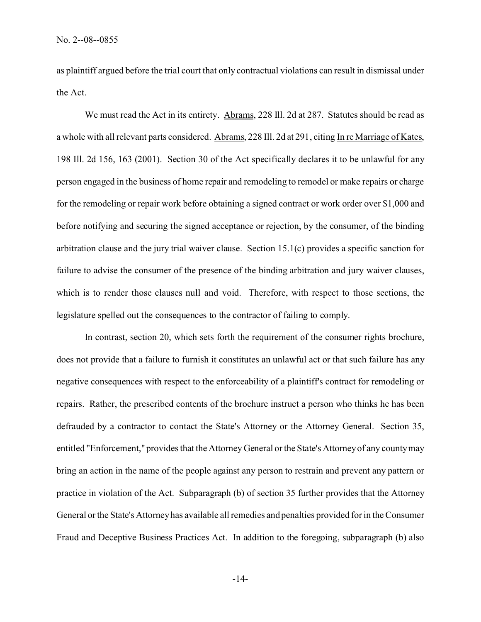as plaintiff argued before the trial court that only contractual violations can result in dismissal under the Act.

We must read the Act in its entirety. Abrams, 228 Ill. 2d at 287. Statutes should be read as a whole with all relevant parts considered. Abrams, 228 Ill. 2d at 291, citing In re Marriage of Kates, 198 Ill. 2d 156, 163 (2001). Section 30 of the Act specifically declares it to be unlawful for any person engaged in the business of home repair and remodeling to remodel or make repairs or charge for the remodeling or repair work before obtaining a signed contract or work order over \$1,000 and before notifying and securing the signed acceptance or rejection, by the consumer, of the binding arbitration clause and the jury trial waiver clause. Section 15.1(c) provides a specific sanction for failure to advise the consumer of the presence of the binding arbitration and jury waiver clauses, which is to render those clauses null and void. Therefore, with respect to those sections, the legislature spelled out the consequences to the contractor of failing to comply.

In contrast, section 20, which sets forth the requirement of the consumer rights brochure, does not provide that a failure to furnish it constitutes an unlawful act or that such failure has any negative consequences with respect to the enforceability of a plaintiff's contract for remodeling or repairs. Rather, the prescribed contents of the brochure instruct a person who thinks he has been defrauded by a contractor to contact the State's Attorney or the Attorney General. Section 35, entitled "Enforcement," provides that the Attorney General or the State's Attorney of any county may bring an action in the name of the people against any person to restrain and prevent any pattern or practice in violation of the Act. Subparagraph (b) of section 35 further provides that the Attorney General or the State's Attorney has available all remedies and penalties provided for in the Consumer Fraud and Deceptive Business Practices Act. In addition to the foregoing, subparagraph (b) also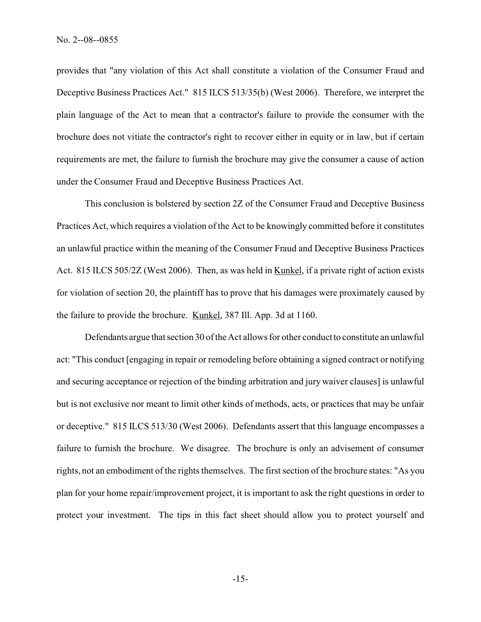provides that "any violation of this Act shall constitute a violation of the Consumer Fraud and Deceptive Business Practices Act." 815 ILCS 513/35(b) (West 2006). Therefore, we interpret the plain language of the Act to mean that a contractor's failure to provide the consumer with the brochure does not vitiate the contractor's right to recover either in equity or in law, but if certain requirements are met, the failure to furnish the brochure may give the consumer a cause of action under the Consumer Fraud and Deceptive Business Practices Act.

This conclusion is bolstered by section 2Z of the Consumer Fraud and Deceptive Business Practices Act, which requires a violation of the Act to be knowingly committed before it constitutes an unlawful practice within the meaning of the Consumer Fraud and Deceptive Business Practices Act. 815 ILCS 505/2Z (West 2006). Then, as was held in Kunkel, if a private right of action exists for violation of section 20, the plaintiff has to prove that his damages were proximately caused by the failure to provide the brochure. Kunkel, 387 Ill. App. 3d at 1160.

Defendants argue that section 30 of the Act allows for other conduct to constitute an unlawful act: "This conduct [engaging in repair or remodeling before obtaining a signed contract or notifying and securing acceptance or rejection of the binding arbitration and jury waiver clauses] is unlawful but is not exclusive nor meant to limit other kinds of methods, acts, or practices that may be unfair or deceptive." 815 ILCS 513/30 (West 2006). Defendants assert that this language encompasses a failure to furnish the brochure. We disagree. The brochure is only an advisement of consumer rights, not an embodiment of the rights themselves. The first section of the brochure states: "As you plan for your home repair/improvement project, it is important to ask the right questions in order to protect your investment. The tips in this fact sheet should allow you to protect yourself and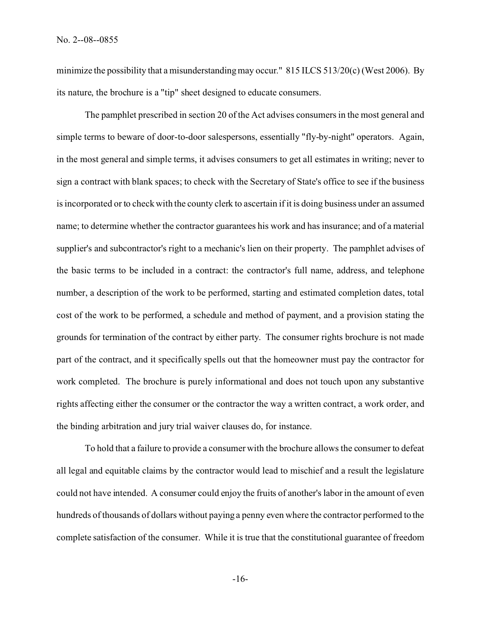minimize the possibility that a misunderstanding may occur." 815 ILCS 513/20(c) (West 2006). By its nature, the brochure is a "tip" sheet designed to educate consumers.

The pamphlet prescribed in section 20 of the Act advises consumers in the most general and simple terms to beware of door-to-door salespersons, essentially "fly-by-night" operators. Again, in the most general and simple terms, it advises consumers to get all estimates in writing; never to sign a contract with blank spaces; to check with the Secretary of State's office to see if the business is incorporated or to check with the county clerk to ascertain if it is doing business under an assumed name; to determine whether the contractor guarantees his work and has insurance; and of a material supplier's and subcontractor's right to a mechanic's lien on their property. The pamphlet advises of the basic terms to be included in a contract: the contractor's full name, address, and telephone number, a description of the work to be performed, starting and estimated completion dates, total cost of the work to be performed, a schedule and method of payment, and a provision stating the grounds for termination of the contract by either party. The consumer rights brochure is not made part of the contract, and it specifically spells out that the homeowner must pay the contractor for work completed. The brochure is purely informational and does not touch upon any substantive rights affecting either the consumer or the contractor the way a written contract, a work order, and the binding arbitration and jury trial waiver clauses do, for instance.

To hold that a failure to provide a consumer with the brochure allows the consumer to defeat all legal and equitable claims by the contractor would lead to mischief and a result the legislature could not have intended. A consumer could enjoy the fruits of another's labor in the amount of even hundreds of thousands of dollars without paying a penny even where the contractor performed to the complete satisfaction of the consumer. While it is true that the constitutional guarantee of freedom

-16-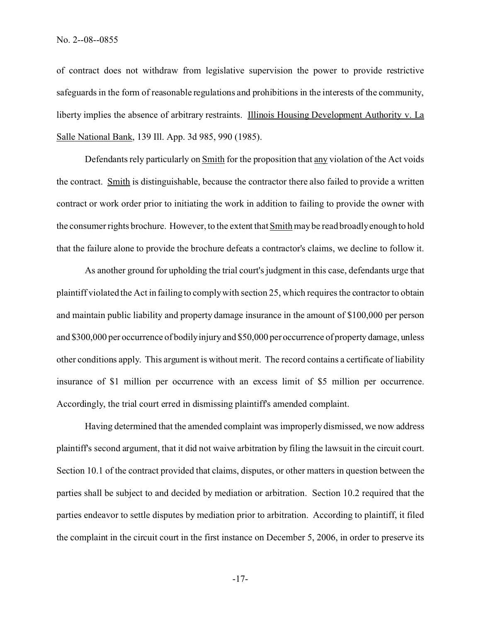of contract does not withdraw from legislative supervision the power to provide restrictive safeguards in the form of reasonable regulations and prohibitions in the interests of the community, liberty implies the absence of arbitrary restraints. Illinois Housing Development Authority v. La Salle National Bank, 139 Ill. App. 3d 985, 990 (1985).

Defendants rely particularly on Smith for the proposition that any violation of the Act voids the contract. Smith is distinguishable, because the contractor there also failed to provide a written contract or work order prior to initiating the work in addition to failing to provide the owner with the consumer rights brochure. However, to the extent that Smith may be read broadly enough to hold that the failure alone to provide the brochure defeats a contractor's claims, we decline to follow it.

As another ground for upholding the trial court's judgment in this case, defendants urge that plaintiff violated the Act in failing to comply with section 25, which requires the contractor to obtain and maintain public liability and property damage insurance in the amount of \$100,000 per person and \$300,000 per occurrence of bodily injury and \$50,000 per occurrence of property damage, unless other conditions apply. This argument is without merit. The record contains a certificate of liability insurance of \$1 million per occurrence with an excess limit of \$5 million per occurrence. Accordingly, the trial court erred in dismissing plaintiff's amended complaint.

Having determined that the amended complaint was improperly dismissed, we now address plaintiff's second argument, that it did not waive arbitration by filing the lawsuit in the circuit court. Section 10.1 of the contract provided that claims, disputes, or other matters in question between the parties shall be subject to and decided by mediation or arbitration. Section 10.2 required that the parties endeavor to settle disputes by mediation prior to arbitration. According to plaintiff, it filed the complaint in the circuit court in the first instance on December 5, 2006, in order to preserve its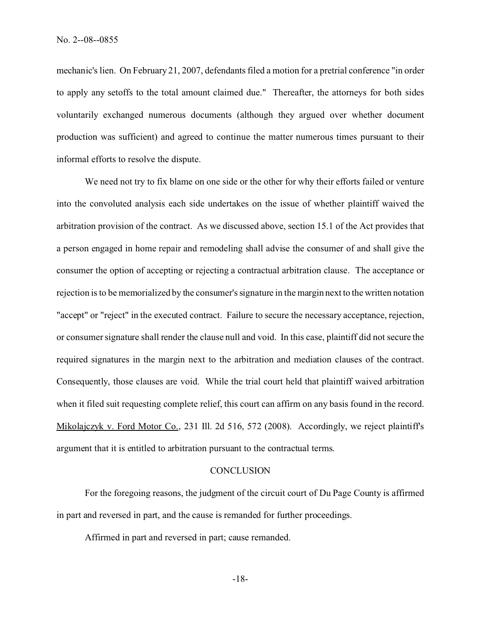mechanic's lien. On February 21, 2007, defendants filed a motion for a pretrial conference "in order to apply any setoffs to the total amount claimed due." Thereafter, the attorneys for both sides voluntarily exchanged numerous documents (although they argued over whether document production was sufficient) and agreed to continue the matter numerous times pursuant to their informal efforts to resolve the dispute.

We need not try to fix blame on one side or the other for why their efforts failed or venture into the convoluted analysis each side undertakes on the issue of whether plaintiff waived the arbitration provision of the contract. As we discussed above, section 15.1 of the Act provides that a person engaged in home repair and remodeling shall advise the consumer of and shall give the consumer the option of accepting or rejecting a contractual arbitration clause. The acceptance or rejection is to be memorialized by the consumer's signature in the margin next to the written notation "accept" or "reject" in the executed contract. Failure to secure the necessary acceptance, rejection, or consumer signature shall render the clause null and void. In this case, plaintiff did not secure the required signatures in the margin next to the arbitration and mediation clauses of the contract. Consequently, those clauses are void. While the trial court held that plaintiff waived arbitration when it filed suit requesting complete relief, this court can affirm on any basis found in the record. Mikolajczyk v. Ford Motor Co., 231 Ill. 2d 516, 572 (2008). Accordingly, we reject plaintiff's argument that it is entitled to arbitration pursuant to the contractual terms.

#### **CONCLUSION**

For the foregoing reasons, the judgment of the circuit court of Du Page County is affirmed in part and reversed in part, and the cause is remanded for further proceedings.

Affirmed in part and reversed in part; cause remanded.